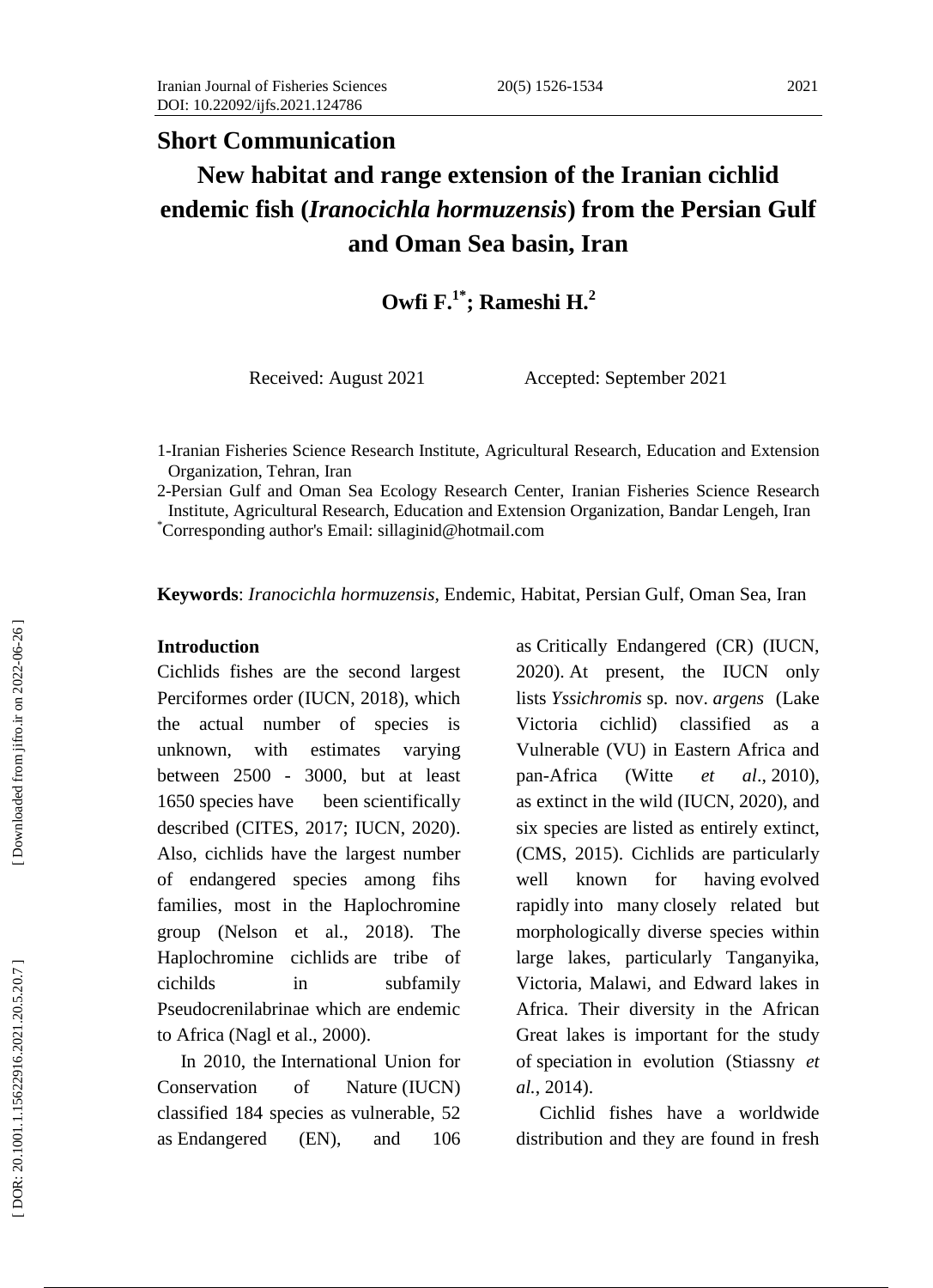## **Short Communication**

# **New habitat and range extension of the Iranian cichlid endemic fish (***Iranocichla hormuzensis***) from the Persian Gulf and Oman Sea basin, Iran**

# **Owfi F.1\* ; Rameshi H. 2**

Received: August 2021 Accepted: September 2021

1 -Iranian Fisheries Science Research Institute, Agricultural Research, Education and Extension Organization, Tehran, Iran

2 -Persian Gulf and Oman Sea Ecology Research Center, Iranian Fisheries Science Research Institute, Agricultural Research, Education and Extension Organization, Bandar Lengeh, Iran \*Corresponding author's Email: [sillaginid@hotmail.com](mailto:sillaginid@hotmail.com)

**Keywords** : *Iranocichla hormuzensis,* Endemic, Habitat, Persian Gulf, Oman Sea, Iran

#### **Introduction**

Cichlids fishes are the second largest Perciformes order (IUCN, 2018), which the actual number of species is unknown, with estimates varying between 2500 - 3000, but at least 1650 [species](https://en.wikipedia.org/wiki/Species) have been [scientifically](https://en.wikipedia.org/wiki/Binomial_nomenclature)  [described](https://en.wikipedia.org/wiki/Binomial_nomenclature) (CITES, 2017; IUCN, 2020). Also, cichlids have the largest number of endangered species among fihs families, most in the Haplochromine group (Nelson et al., 2018). The Haplochromine cichlids are tribe of cichilds in subfamily Pseudocrenilabrinae which are endemic to Africa (Nagl et al., 2000).

 In 2010, the [International Union for](https://en.wikipedia.org/wiki/International_Union_for_Conservation_of_Nature)  [Conservation of Nature](https://en.wikipedia.org/wiki/International_Union_for_Conservation_of_Nature) (IUCN) classified 184 species as [vulnerable,](https://en.wikipedia.org/wiki/Vulnerable_species) 52 as [Endangered](https://en.wikipedia.org/wiki/Endangered_species) (EN), and 106 as [Critically Endangered](https://en.wikipedia.org/wiki/Critically_endangered) (CR) (IUCN, 2020) . At present, the IUCN only lists *[Yssichromis](https://en.wikipedia.org/wiki/Yssichromis_sp._nov._%22argens%22)* sp. nov. *argens* (Lake Victoria cichlid) classified as a Vulnerable (VU) in Eastern Africa and pan-Africa (Witte *et al.*, 2010), as [extinct in the wild](https://en.wikipedia.org/wiki/Extinct_in_the_wild) (IUCN, 202 0 ), and six species are listed as entirely extinct, (CMS, 2015). Cichlids are particularly well known for having [evolved](https://en.wikipedia.org/wiki/Adaptive_radiation)  [rapidly](https://en.wikipedia.org/wiki/Adaptive_radiation) into many [closely related but](https://en.wikipedia.org/wiki/Species_flock)  [morphologically diverse species within](https://en.wikipedia.org/wiki/Species_flock)  [large lakes, particularly Tanganyika,](https://en.wikipedia.org/wiki/Species_flock)  [Victoria, Malawi, and](https://en.wikipedia.org/wiki/Species_flock) [Edward](https://en.wikipedia.org/wiki/Lake_Edward) lakes in Africa. Their diversity in the African Great lakes is important for the study of [speciation](https://en.wikipedia.org/wiki/Speciation) in evolution (Stiassny *et al.*, 2014) .

 Cichlid fishes have a worldwide distribution and they are found in fresh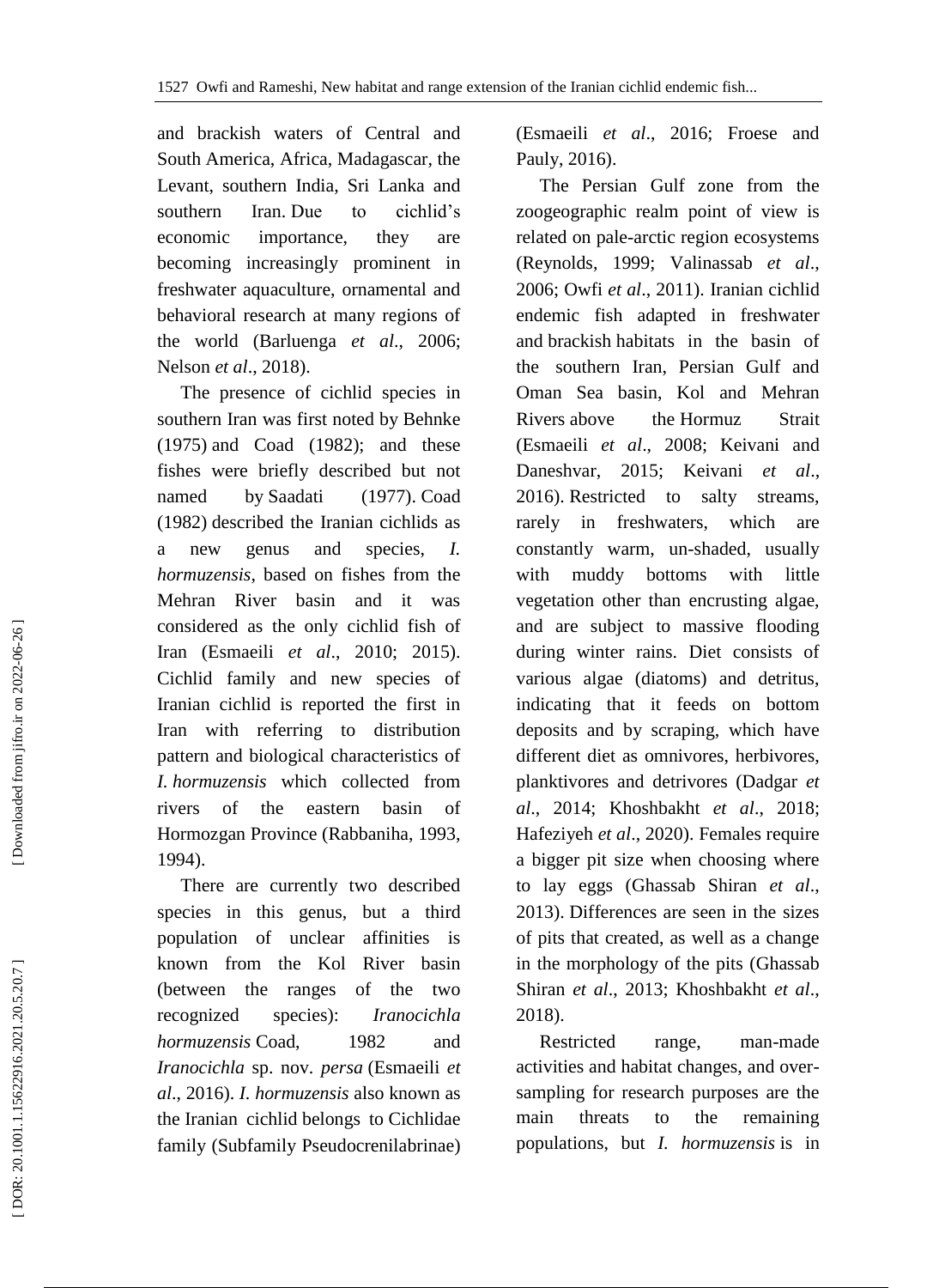and brackish waters of Central and South America, Africa, Madagascar, the Levant, southern India, Sri Lanka and southern Iran. Due to cichlid's economic importance, they are becoming increasingly prominent in freshwater aquaculture, ornamental and behavioral research at many regions of the world (Barluenga *et al*., 2006; Nelson *et al*., 2018).

 The presence of cichlid species in southern Iran was first noted by Behnke (1975) and Coad (1982 ); and these fishes were briefly described but not named by Saadati (1977). Coad (1982) described the Iranian cichlids as a new genus and species, *I. hormuzensis*, based on fishes from the Mehran River basin and it was considered as the only cichlid fish of Iran (Esmaeili *et al*., 2010; 2015). Cichlid family and new species of Iranian cichlid is reported the first in Iran with referring to distribution pattern and biological characteristics of *I. hormuzensis* which collected from rivers of the eastern basin of Hormozgan Province (Rabbaniha, 1993, 1994).

 There are currently two described species in this genus, but a third population of unclear affinities is known from the Kol River basin (between the ranges of the two recognized species): *[Iranocichla](https://en.wikipedia.org/wiki/Iranocichla_hormuzensis)  [hormuzensis](https://en.wikipedia.org/wiki/Iranocichla_hormuzensis)* [Coad,](https://en.wikipedia.org/w/index.php?title=Brian_W._Coad&action=edit&redlink=1) 1982 and *[Iranocichla](https://en.wikipedia.org/wiki/Iranocichla_persa)* sp. nov. *persa* (Esmaeili *et al*., 2016). *I. hormuzensis* also known as the Iranian cichlid belongs to Cichlidae family (Subfamily Pseudocrenilabrinae)

(Esmaeili *et al*., 2016; Froese and Pauly, 2016).

 The Persian Gulf zone from the zoogeographic realm point of view is related on pale -arctic region ecosystems (Reynolds, 1999; Valinassab *et al*., 2006; Owfi *et al*., 2011). Iranian cichlid endemic fish adapted in freshwater and [brackish](https://en.wikipedia.org/wiki/Brackish) habitats in the basin of the southern Iran, Persian Gulf and Oman Sea basin, Kol and [Mehran](https://en.wikipedia.org/wiki/Mehran_River) [River](https://en.wikipedia.org/wiki/Mehran_River)s above the Hormuz [Strait](https://en.wikipedia.org/wiki/Straits_of_Hormuz) (Esmaeili *et al*., 200 8; Keivani and Daneshvar, 2015; Keivani *et al*., 201 6). Restricted to salty streams, rarely in freshwaters, which are constantly warm, un -shaded, usually with muddy bottoms with little vegetation other than encrusting algae, and are subject to massive flooding during winter rains. Diet consists of various algae (diatoms) and detritus, indicating that it feeds on bottom deposits and by scraping, which have different diet as omnivores, herbivores, planktivores and detrivores (Dadgar *et al*., 2014; Khoshbakht *et al*., 2018; Hafeziyeh *et al*., 2020). Females require a bigger pit size when choosing where to lay eggs (Ghassab Shiran *et al*., 2013). Differences are seen in the sizes of pits that created, as well as a change in the morphology of the pits (Ghassab Shiran *et al*., 2013; Khoshbakht *et al*., 2018).

Restricted range, man-made activities and habitat changes, and over sampling for research purposes are the main threats to the remaining populations, but *I. hormuzensis* is in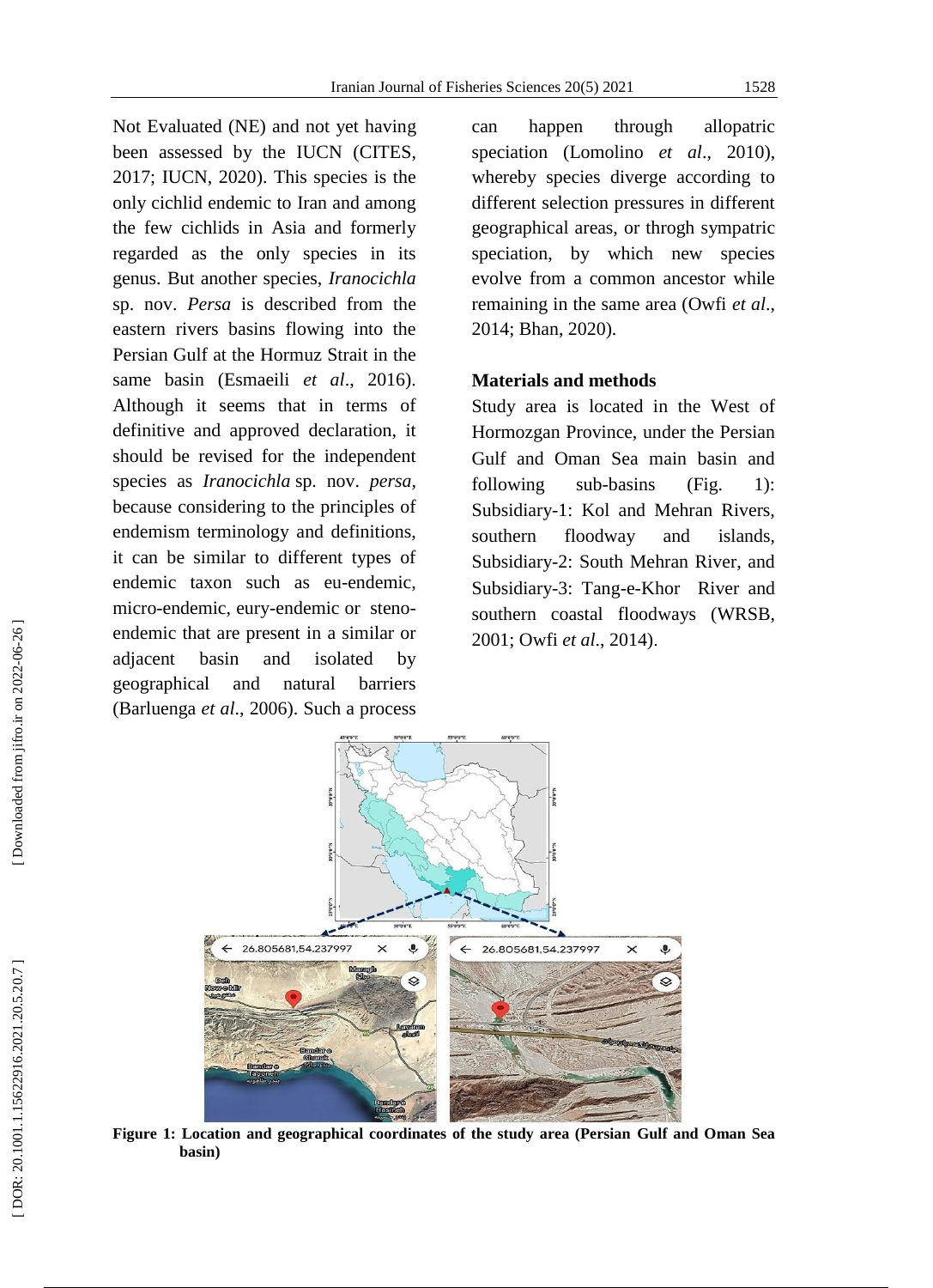[Not Evaluated](https://www.iucnredlist.org/) (NE) and not yet having been assessed by the IUCN (CITES, 2017; IUCN, 2020). This species is the only cichlid endemic to Iran and among the few cichlids in Asia and formerly regarded as the only species in its genus. But another species, *Iranocichla* sp. nov. *Persa* is described from the eastern rivers basins flowing into the Persian Gulf at the Hormuz Strait in the same basin (Esmaeili *et al*., 2016). Although it seems that in terms of definitive and approved declaration, it should be revised for the independent species as *Iranocichla* sp. nov. *persa,*  because considering to the principles of endemism terminology and definitions, it can be similar to different types of endemic taxon such as eu [-endemic,](http://ecoportal.lifewatchitaly.eu/ontologies/ENDEMISMS/?p=classes&conceptid=http%3A%2F%2Fthesauri.lifewatchitaly.eu%2Fendemisms%2F%3Ftema%3D26) micro [-endemic,](http://ecoportal.lifewatchitaly.eu/ontologies/ENDEMISMS/?p=classes&conceptid=http%3A%2F%2Fthesauri.lifewatchitaly.eu%2Fendemisms%2F%3Ftema%3D19) eury [-endemic](http://ecoportal.lifewatchitaly.eu/ontologies/ENDEMISMS/?p=classes&conceptid=http%3A%2F%2Fthesauri.lifewatchitaly.eu%2Fendemisms%2F%3Ftema%3D23) or [steno](http://ecoportal.lifewatchitaly.eu/ontologies/ENDEMISMS/?p=classes&conceptid=http%3A%2F%2Fthesauri.lifewatchitaly.eu%2Fendemisms%2F%3Ftema%3D24) [endemic](http://ecoportal.lifewatchitaly.eu/ontologies/ENDEMISMS/?p=classes&conceptid=http%3A%2F%2Fthesauri.lifewatchitaly.eu%2Fendemisms%2F%3Ftema%3D24) that are present in a similar or adjacent basin and isolated by geographical and natural barriers (Barluenga *et al*., 2006). Such a process

can happen through [allopatric](https://en.wikipedia.org/wiki/Allopatric_speciation)  [speciation](https://en.wikipedia.org/wiki/Allopatric_speciation) (Lomolino *et al*., 2010), whereby species diverge according to different selection pressures in different geographical areas, or throgh sympatric speciation, by which new species evolve from a common ancestor while remaining in the same area (Owfi *et al*., 2014; Bhan, 2020).

#### **Materials and methods**

Study area is located in the West of Hormozgan Province, under the Persian Gulf and Oman Sea main basin and following  $sub-basins$  (Fig. 1): Subsidiary -1: Kol and Mehran Rivers, southern floodway and islands, Subsidiary -2: South Mehran River, and Subsidiary -3: Tang - e -Khor River and southern coastal floodways (WRSB, 2001; Owfi *et al*., 2014) .



**Figure 1: Location and geographical coordinates of the study area (Persian Gulf and Oman Sea basin)**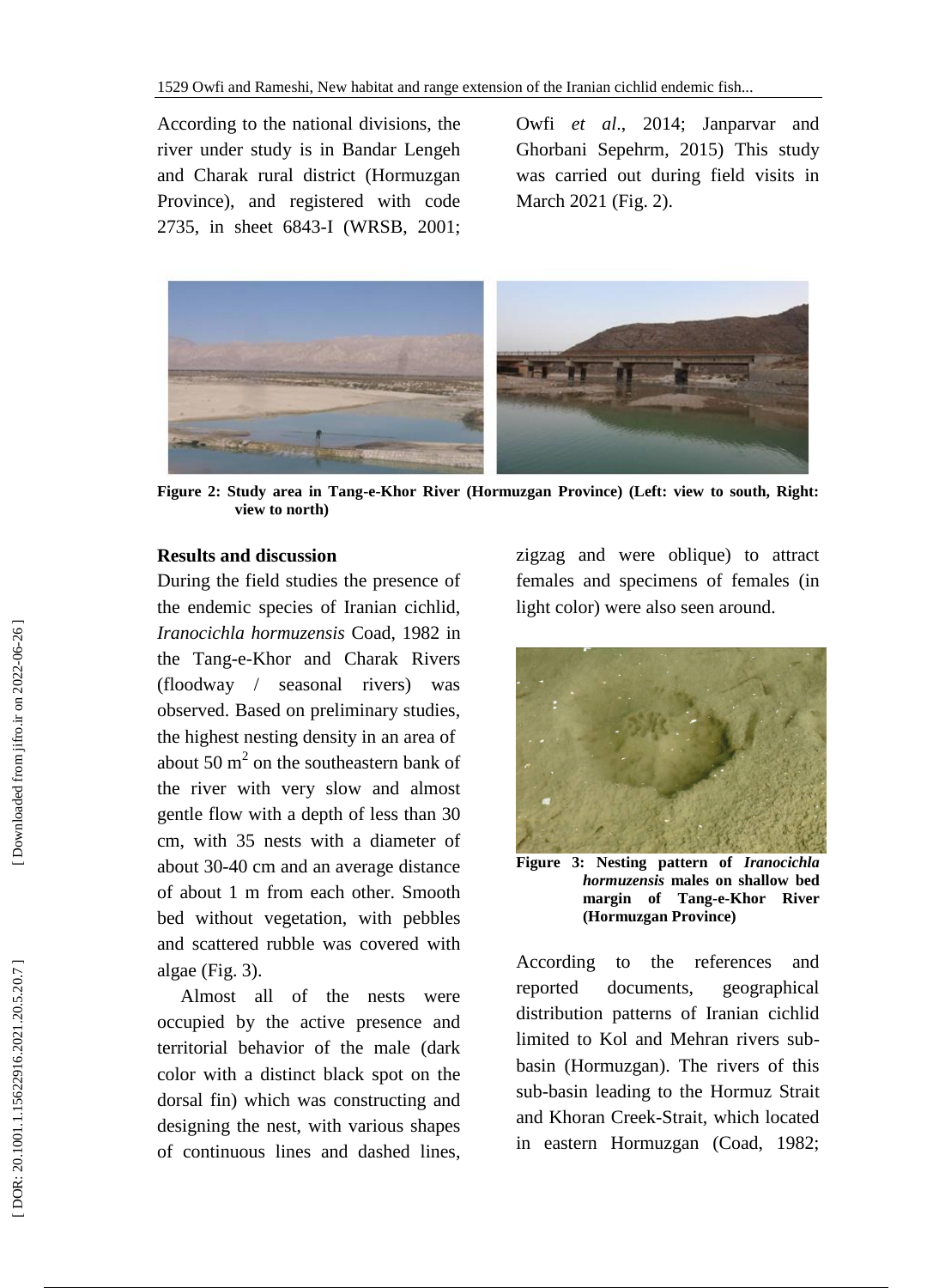According to the national divisions, the river under study is in Bandar Lengeh and Charak rural district (Hormuzgan Province), and registered with code 2735, in sheet 6843 -I (WRSB, 2001; Owfi *et al*., 2014; Janparvar and Ghorbani Sepehrm, 2015) This study was carried out during field visits in March 2021 (Fig. 2).



Figure 2: Study area in Tang-e-Khor River (Hormuzgan Province) (Left: view to south, Right: **view to north)**

#### **Results and discussion**

During the field studies the presence of the endemic species of Iranian cichlid, *Iranocichla hormuzensis* Coad, 1982 in the Tang - e -Khor and Charak Rivers (floodway / seasonal rivers) was observed. Based on preliminary studies, the highest nesting density in an area of about 50  $m^2$  on the southeastern bank of the river with very slow and almost gentle flow with a depth of less than 30 cm, with 35 nests with a diameter of about 30 -40 cm and an average distance of about 1 m from each other. Smooth bed without vegetation, with pebbles and scattered rubble was covered with algae (Fig. 3).

 Almost all of the nests were occupied by the active presence and territorial behavior of the male (dark color with a distinct black spot on the dorsal fin) which was constructing and designing the nest, with various shapes of continuous lines and dashed lines, zigzag and were oblique) to attract females and specimens of females (in light color) were also seen around.



**Figure 3: Nesting pattern of** *Iranocichla hormuzensis* **males on shallow bed**  margin of Tang-e-Khor River **(Hormuzgan Province)**

According to the references and reported documents, geographical distribution patterns of Iranian cichlid limited to Kol and Mehran rivers subbasin (Hormuzgan). The rivers of this sub -basin leading to the Hormuz Strait and Khoran Creek -Strait, which located in eastern Hormuzgan (Coad, 1982;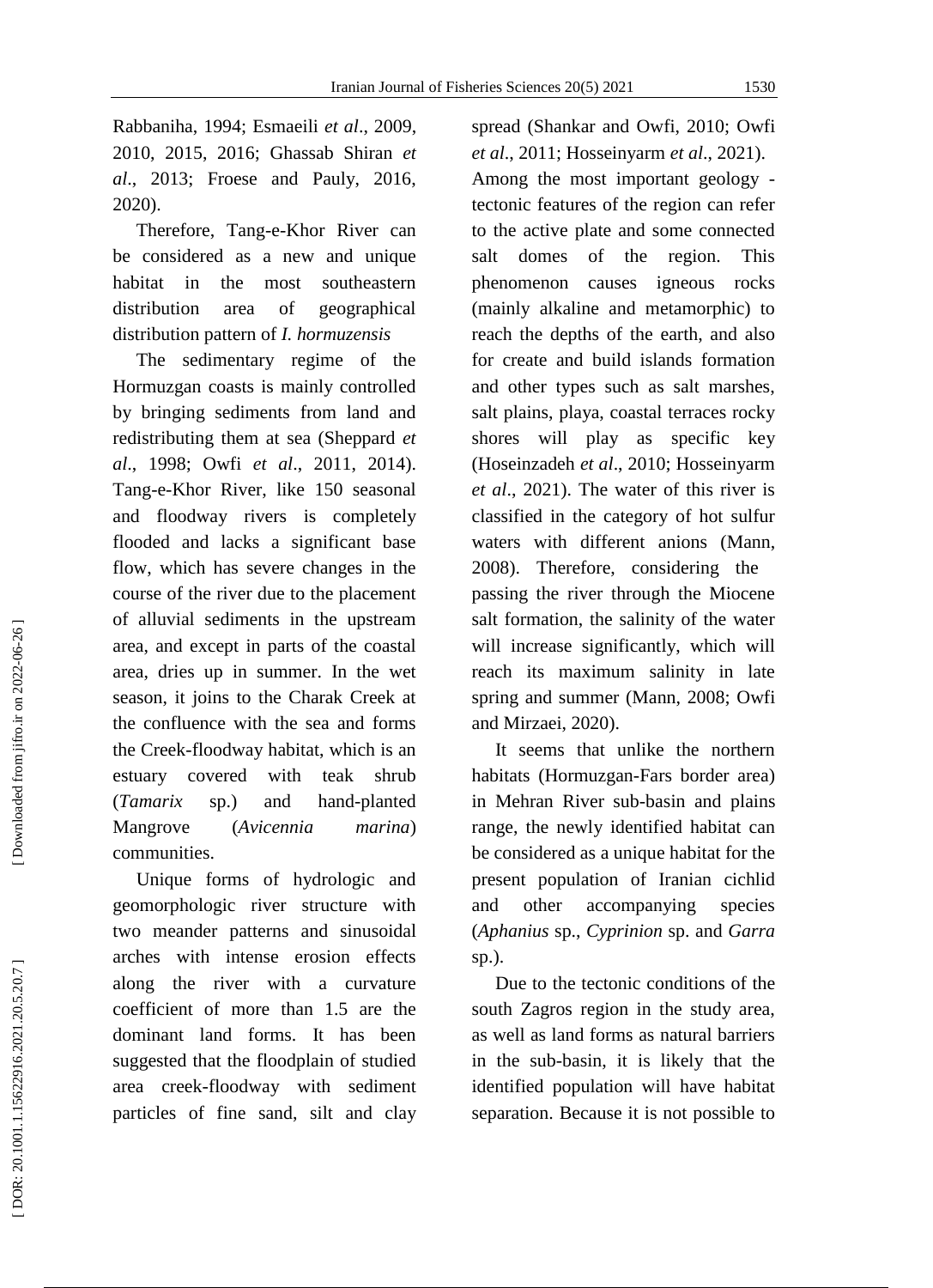Rabbaniha, 1994; Esmaeili *et al*., 2009, 2010, 2015, 2016; Ghassab Shiran *et al*., 2013; Froese and Pauly, 2016, 2020).

Therefore, Tang-e-Khor River can be considered as a new and unique habitat in the most southeastern distribution area of geographical distribution pattern of *I. hormuzensis*

 The sedimentary regime of the Hormuzgan coasts is mainly controlled by bringing sediments from land and redistributing them at sea (Sheppard *et al*., 1998; Owfi *et al*., 201 1, 201 4). Tang - e -Khor River, like 150 seasonal and floodway rivers is completely flooded and lacks a significant base flow, which has severe changes in the course of the river due to the placement of alluvial sediments in the upstream area, and except in parts of the coastal area, dries up in summer. In the wet season, it joins to the Charak Creek at the confluence with the sea and forms the Creek -floodway habitat, which is an estuary covered with teak shrub (*Tamarix* sp.) and hand-planted Mangrove (*Avicennia marina*) communities.

 Unique forms of hydrologic and geomorphologic river structure with two meander patterns and sinusoidal arches with intense erosion effects along the river with a curvature coefficient of more than 1.5 are the dominant land forms. It has been suggested that the floodplain of studied area creek -floodway with sediment particles of fine sand, silt and clay

spread (Shankar and Owfi, 2010; Owfi *et al*., 2011; Hosseinyarm *et al*., 2021). Among the most important geology tectonic features of the region can refer to the active plate and some connected salt domes of the region. This phenomenon causes igneous rocks (mainly alkaline and metamorphic) to reach the depths of the earth, and also for create and build islands formation and other types such as salt marshes, salt plains, playa, coastal terraces rocky shores will play as specific key (Hoseinzadeh *et al*., 2010; Hosseinyarm *et al*., 2021). The water of this river is classified in the category of hot sulfur waters with different anions (Mann, 2008). Therefore, considering the passing the river through the Miocene salt formation, the salinity of the water will increase significantly, which will reach its maximum salinity in late spring and summer (Mann, 2008; Owfi and Mirzaei, 2020).

 It seems that unlike the northern habitats (Hormuzgan -Fars border area) in Mehran River sub -basin and plains range, the newly identified habitat can be considered as a unique habitat for the present population of Iranian cichlid and other accompanying species (*Aphanius* sp., *Cyprinion* sp. and *Garra* sp.).

 Due to the tectonic conditions of the south Zagros region in the study area, as well as land forms as natural barriers in the sub -basin, it is likely that the identified population will have habitat separation. Because it is not possible to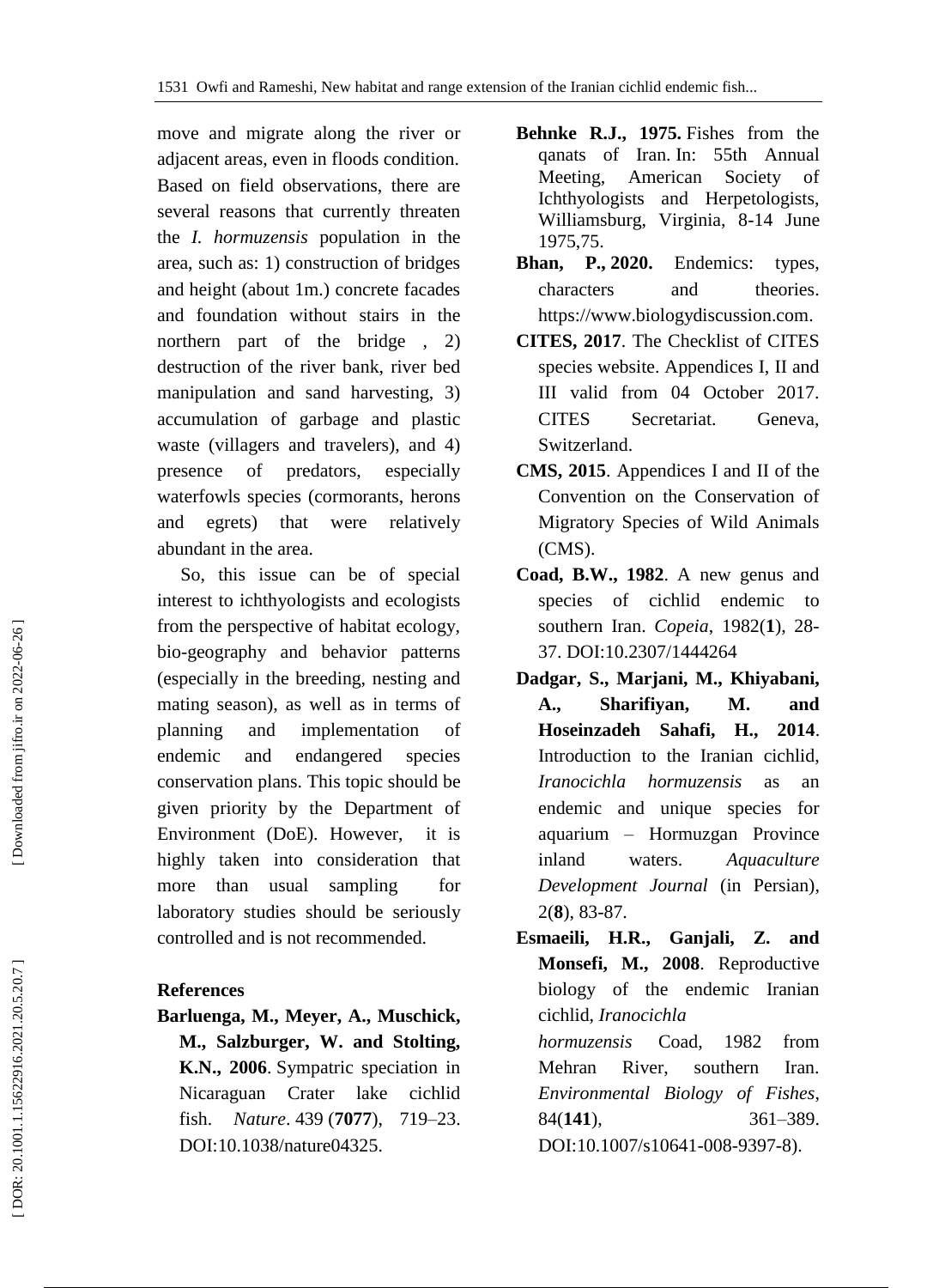move and migrate along the river or adjacent areas, even in floods condition. Based on field observations, there are several reasons that currently threaten the *I. hormuzensis* population in the area, such as: 1) construction of bridges and height (about 1m.) concrete facades and foundation without stairs in the northern part of the bridge , 2) destruction of the river bank, river bed manipulation and sand harvesting, 3) accumulation of garbage and plastic waste (villagers and travelers), and 4) presence of predators, especially waterfowls species (cormorants, herons and egrets) that were relatively abundant in the area.

 So, this issue can be of special interest to ichthyologists and ecologists from the perspective of habitat ecology, bio -geography and behavior patterns (especially in the breeding, nesting and mating season), as well as in terms of planning and implementation of endemic and endangered species conservation plans. This topic should be given priority by the Department of Environment (DoE). However, it is highly taken into consideration that more than usual sampling for laboratory studies should be seriously controlled and is not recommended.

### **References**

**Barluenga, M., Meyer, A., Muschick, M., Salzburger, W. and Stolting, K.N., 2006** . [Sympatric speciation in](https://kops.uni-konstanz.de/bitstream/123456789/6577/1/sympatric_speciation_in_nicaraguan_crater_lake_cichlid_fish_2006.pdf)  [Nicaraguan Crater lake cichlid](https://kops.uni-konstanz.de/bitstream/123456789/6577/1/sympatric_speciation_in_nicaraguan_crater_lake_cichlid_fish_2006.pdf)  [fish.](https://kops.uni-konstanz.de/bitstream/123456789/6577/1/sympatric_speciation_in_nicaraguan_crater_lake_cichlid_fish_2006.pdf) *Nature* . 439 (**7077**), 719 719-23. [DOI:10.1038/nature04325](http://doi.org/10.1038/nature04325) .

- **Behnke R .J., 1975.** Fishes from the qanats of Iran. In: 55th Annual Meeting, American Society of Ichthyologists and Herpetologists, Williamsburg, Virginia, 8 -14 June 1975,75.
- **Bhan, P., 2020.** [Endemics: types,](https://www.biologydiscussion.com/angiosperm/taxonomy-angiosperm/endemics-types-characters-and-theories/34819)  [characters and theories.](https://www.biologydiscussion.com/angiosperm/taxonomy-angiosperm/endemics-types-characters-and-theories/34819) [https://www.biologydiscussion.com](https://www.biologydiscussion.com/) .
- **CITES, 2017**. The Checklist of CITES species website. Appendices I, II and III valid from 04 October 2017. CITES Secretariat. Geneva, Switzerland.
- **CMS, 2015**. Appendices I and II of the Convention on the Conservation of Migratory Species of Wild Animals (CMS).
- **Coad, B.W., 1982**. A new genus and species of cichlid endemic to southern Iran. *Copeia*, 1982(1), 28-37. [DOI:10.2307/1444264](https://doi.org/10.2307/1444264)
- **Dadgar, S., Marjani, M., Khiyabani, A., Sharifiyan, M. and Hoseinzadeh Sahafi, H., 2014**. Introduction to the Iranian cichlid, *Iranocichla hormuzensis* as an endemic and unique species for aquarium – Hormuzgan Province inland waters. *Aquaculture Development Journal* (in Persian), 2( **8**), 83 -87.
- **Esmaeili, H.R., Ganjali, Z. and Monsefi, M., 2008**. Reproductive biology of the endemic Iranian cichlid, *Iranocichla hormuzensis* Coad, 1982 from Mehran River, southern Iran. *Environmental Biology of Fishes*, 84 (**141**), 361 –389. DOI[:10.1007/s10641](https://doi.org/10.1007/s10641-008-9397-8)-008-9397-8).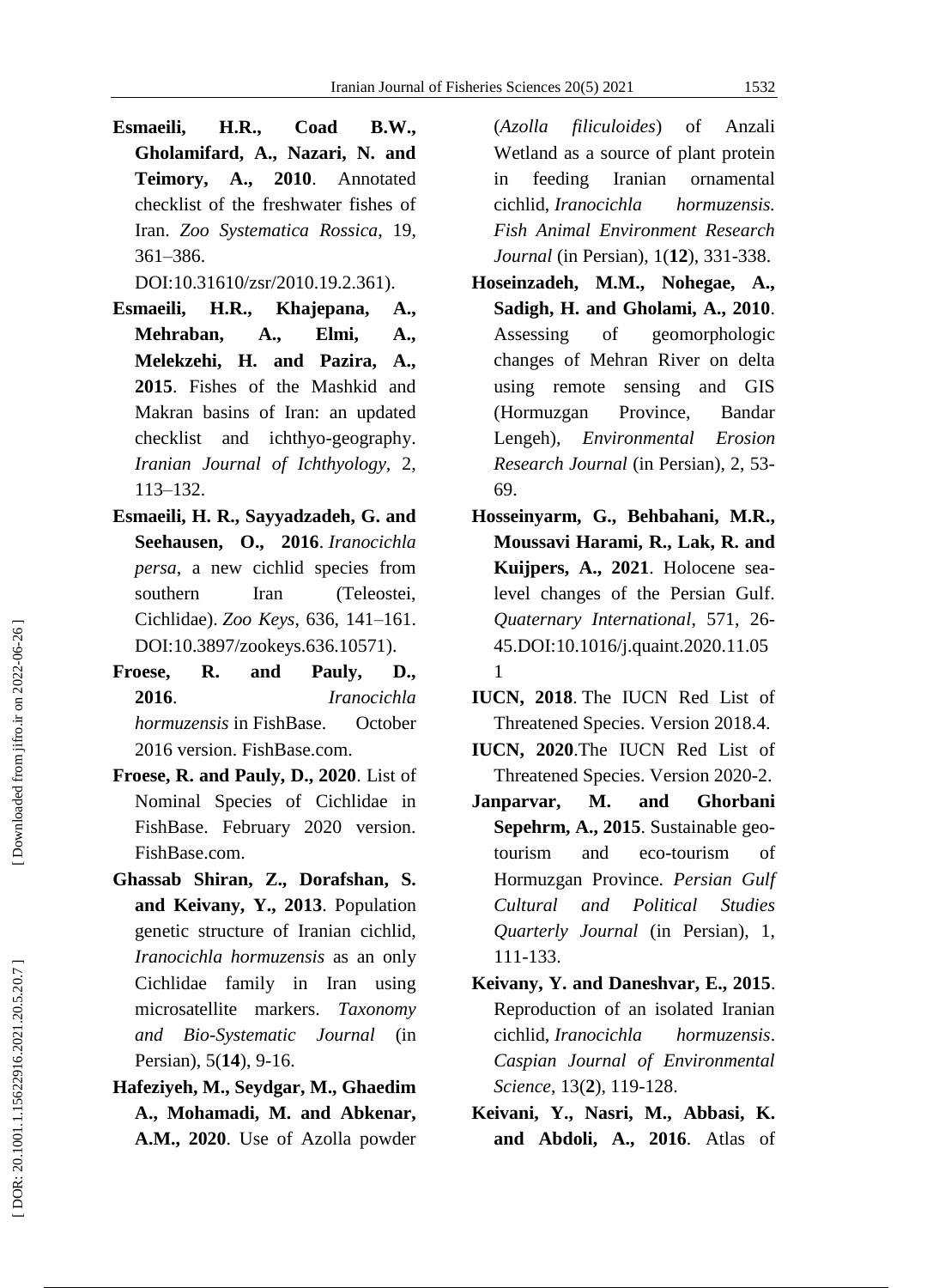**Esmaeili, H.R., Coad B.W., Gholamifard, A., Nazari, N. and Teimory, A., 2010**. Annotated checklist of the freshwater fishes of Iran. *Zoo Systematica Rossica*, 19, 361 –386.

DOI[:10.31610/zsr/2010.19.2.361\)](http://dx.doi.org/10.31610/zsr/2010.19.2.361).

- **Esmaeili, H.R., Khajepana, A., Mehraban, A., Elmi, A., Melekzehi, H. and Pazira, A., 2015**. Fishes of the Mashkid and Makran basins of Iran: an updated checklist and ichthyo -geography. *Iranian Journal of Ichthyology,* 2, 113 –132.
- **Esmaeili, H. R., Sayyadzadeh, G. and Seehausen, O., 2016** . *[Iranocichla](https://zookeys.pensoft.net/articles.php?id=10571)  persa*[, a new cichlid species from](https://zookeys.pensoft.net/articles.php?id=10571)  southern Iran (Teleostei, [Cichlidae\).](https://zookeys.pensoft.net/articles.php?id=10571) *Zoo Keys*, 636, 141 –161. DOI[:10.3897/zookeys.636.10571\)](https://dx.doi.org/10.3897%2Fzookeys.636.10571).
- **Froese, R. and Pauly, D., 2016** . *[Iranocichla](http://www.fishbase.org/summary/SpeciesSummary.php?genusname=Iranocichla&speciesname=hormuzensis)  [hormuzensis](http://www.fishbase.org/summary/SpeciesSummary.php?genusname=Iranocichla&speciesname=hormuzensis)* in [FishBase.](https://en.wikipedia.org/wiki/FishBase) October 2016 version. FishBase.com.
- **Froese, R. and Pauly, D., 2020**. [List of](http://www.fishbase.org/Nomenclature/NominalSpeciesList.php?family=Cichlidae)  [Nominal Species of Cichlidae in](http://www.fishbase.org/Nomenclature/NominalSpeciesList.php?family=Cichlidae)  [FishBase.](http://www.fishbase.org/Nomenclature/NominalSpeciesList.php?family=Cichlidae) February 2020 version. FishBase.com.
- **Ghassab Shiran, Z., Dorafshan, S. and Keivany, Y., 2013**. Population genetic structure of Iranian cichlid, *Iranocichla hormuzensis* as an only Cichlidae family in Iran using microsatellite markers. *Taxonomy and Bio -Systematic Journal* (in Persian), 5(**14**), 9 -16.
- **Hafeziyeh, M., Seydgar, M., Ghaedim A., Mohamadi, M. and Abkenar, A.M., 2020**. Use of Azolla powder

(*Azolla filiculoides*) of Anzali Wetland as a source of plant protein in feeding Iranian ornamental cichlid, *Iranocichla hormuzensis. Fish Animal Environment Research Journal* (in Persian), 1(**12**), 331 -338.

- **Hoseinzadeh, M.M., Nohegae, A., Sadigh, H. and Gholami, A., 2010**. Assessing of geomorphologic changes of Mehran River on delta using remote sensing and GIS (Hormuzgan Province, Bandar Lengeh), *Environmental Erosion Research Journal* (in Persian), 2, 53 - 69.
- **Hosseinyarm, G., Behbahani, M.R., Moussavi Harami, R., Lak, R. and Kuijpers, A., 2021**. Holocene sea level changes of the Persian Gulf. *Quaternary International*, 571, 26 - 45[.DOI:10.1016/j.quaint.2020.11.05](https://doi.org/10.1016/j.quaint.2020.11.051) [1](https://doi.org/10.1016/j.quaint.2020.11.051)
- **IUCN, 2018** . The [IUCN Red List of](http://www.iucnredlist.org/)  [Threatened Species.](http://www.iucnredlist.org/) Version 2018.4.
- **IUCN, 2020**.The IUCN Red List of Threatened Species. Version 2020 -2.
- **Janparvar, M. and Ghorbani Sepehrm , A., 2015**. Sustainable geo tourism and eco-tourism of Hormuzgan Province. *Persian Gulf Cultural and Political Studies Quarterly Journal* (in Persian), 1, 111 -133.
- **Keivany, Y. and Daneshvar, E., 2015**. Reproduction of an isolated Iranian cichlid, *Iranocichla hormuzensis*. *Caspian Journal of Environmental Science*, [13\(](https://cjes.guilan.ac.ir/issue_32_285.html) **2**), 119 -128.
- **Keivani, Y., Nasri, M., Abbasi, K. and Abdoli, A., 2016**. Atlas of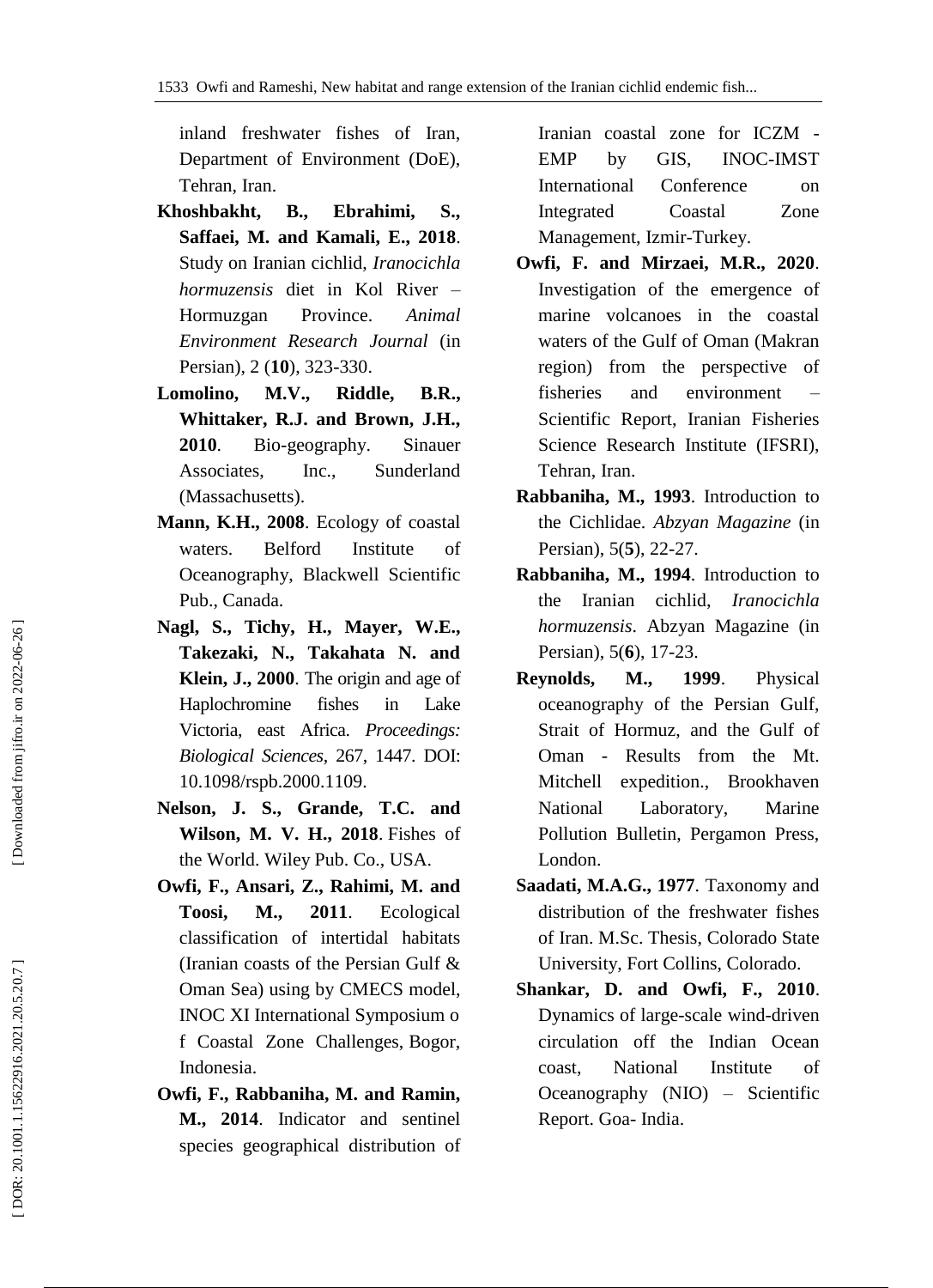inland freshwater fishes of Iran, Department of Environment (DoE), Tehran, Iran.

- **Khoshbakht, B., Ebrahimi, S., Saffaei, M. and Kamali, E., 2018**. Study on Iranian cichlid, *Iranocichla hormuzensis* diet in Kol River – Hormuzgan Province. *Animal Environment Research Journal* (in Persian), 2 (**10**), 323 -330.
- **Lomolino, M.V., Riddle, B.R., Whittaker, R.J. and Brown, J.H., 2010**. Bio Bio-geography. Sinauer Associates, Inc., Sunderland (Massachusetts).
- **Mann, K.H., 2008**. Ecology of coastal waters. Belford Institute of Oceanography, Blackwell Scientific Pub., Canada.
- **Nagl, S., Tichy, H., Mayer, W.E., Takezaki, N., Takahata N. and Klein, J., 2000**. The origin and age of Haplochromine fishes in Lake Victoria, east Africa. *Proceedings: Biological Sciences*, 267, 1447. DOI: [10.1098/rspb.2000.1109](https://dx.doi.org/10.1098%2Frspb.2000.1109) .
- **Nelson, J. S., Grande, T.C. and Wilson, M. V. H., 2018** . [Fishes of](https://sites.google.com/site/fotw5th/)  [the World.](https://sites.google.com/site/fotw5th/) Wiley Pub. Co., USA.
- **Owfi, F., Ansari, Z., Rahimi, M. and Toosi, M., 2011**. Ecological classification of intertidal habitats (Iranian coasts of the Persian Gulf & Oman Sea) using by CMECS model, INOC XI International Symposium o f Coastal Zone Challenges, Bogor, Indonesia.
- **Owfi, F., Rabbaniha, M. and Ramin, M., 2014**. Indicator and sentinel species geographical distribution of

Iranian coastal zone for ICZM - EMP by GIS, INOC -IMST International Conference on Integrated Coastal Zone Management, Izmir -Turkey.

- **Owfi, F. and Mirzaei, M.R., 2020**. Investigation of the emergence of marine volcanoes in the coastal waters of the Gulf of Oman (Makran region) from the perspective of fisheries and environment – Scientific Report, Iranian Fisheries Science Research Institute (IFSRI), Tehran, Iran.
- **Rabbaniha, M., 1993**. Introduction to the Cichlidae. *Abzyan Magazine* (in Persian), 5( **5**), 22 -27.
- **Rabbaniha, M., 1994**. Introduction to the Iranian cichlid, *Iranocichla hormuzensis* . Abzyan Magazine (in Persian), 5( **6**), 17 -23.
- **Reynolds, M., 1999**. Physical oceanography of the Persian Gulf, Strait of Hormuz, and the Gulf of Oman - Results from the Mt. Mitchell expedition., Brookhaven National Laboratory, Marine Pollution Bulletin, Pergamon Press, London.
- **Saadati, M.A.G., 1977**. Taxonomy and distribution of the freshwater fishes of Iran. M.Sc. Thesis, Colorado State University, Fort Collins, Colorado.
- **Shankar, D. and Owfi, F., 2010**. Dynamics of large -scale wind -driven circulation off the Indian Ocean coast, National Institute of Oceanography (NIO) – Scientific Report. Goa - India.